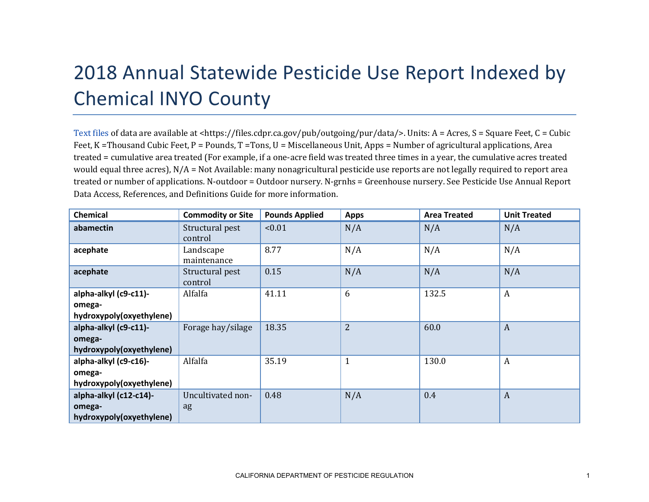## 2018 Annual Statewide Pesticide Use Report Indexed by Chemical INYO County

[Text files](https://files.cdpr.ca.gov/pub/outgoing/pur/data/) of data are available at <https://files.cdpr.ca.gov/pub/outgoing/pur/data/>. Units: A = Acres, S = Square Feet, C = Cubic Feet, K = Thousand Cubic Feet, P = Pounds, T = Tons, U = Miscellaneous Unit, Apps = Number of agricultural applications, Area treated = cumulative area treated (For example, if a one-acre field was treated three times in a year, the cumulative acres treated would equal three acres), N/A = Not Available: many nonagricultural pesticide use reports are not legally required to report area treated or number of applications. N-outdoor = Outdoor nursery. N-grnhs = Greenhouse nursery. See Pesticide Use Annual Report Data Access, References, and Definitions Guide for more information.

| <b>Chemical</b>                 | <b>Commodity or Site</b>   | <b>Pounds Applied</b> | <b>Apps</b>    | <b>Area Treated</b> | <b>Unit Treated</b> |
|---------------------------------|----------------------------|-----------------------|----------------|---------------------|---------------------|
| abamectin                       | Structural pest<br>control | < 0.01                | N/A            | N/A                 | N/A                 |
| acephate                        | Landscape<br>maintenance   | 8.77                  | N/A            | N/A                 | N/A                 |
| acephate                        | Structural pest<br>control | 0.15                  | N/A            | N/A                 | N/A                 |
| alpha-alkyl (c9-c11)-<br>omega- | Alfalfa                    | 41.11                 | 6              | 132.5               | $\boldsymbol{A}$    |
| hydroxypoly(oxyethylene)        |                            |                       |                |                     |                     |
| alpha-alkyl (c9-c11)-           | Forage hay/silage          | 18.35                 | $\overline{2}$ | 60.0                | $\boldsymbol{A}$    |
| omega-                          |                            |                       |                |                     |                     |
| hydroxypoly(oxyethylene)        |                            |                       |                |                     |                     |
| alpha-alkyl (c9-c16)-           | Alfalfa                    | 35.19                 | $\mathbf{1}$   | 130.0               | A                   |
| omega-                          |                            |                       |                |                     |                     |
| hydroxypoly(oxyethylene)        |                            |                       |                |                     |                     |
| alpha-alkyl (c12-c14)-          | Uncultivated non-          | 0.48                  | N/A            | 0.4                 | $\boldsymbol{A}$    |
| omega-                          | ag                         |                       |                |                     |                     |
| hydroxypoly(oxyethylene)        |                            |                       |                |                     |                     |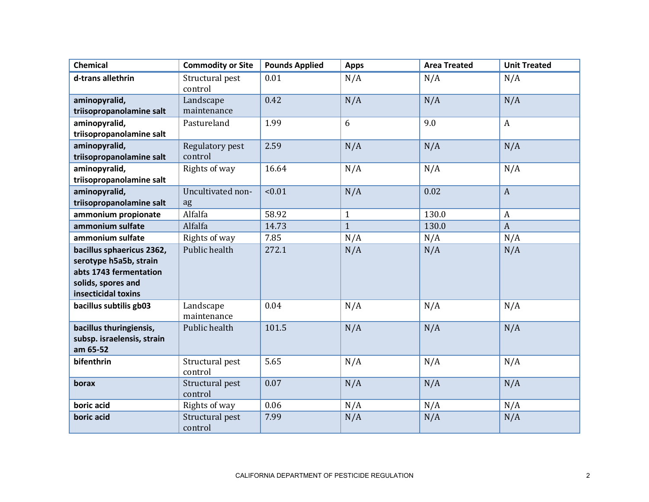| <b>Chemical</b>                                                                                                            | <b>Commodity or Site</b>   | <b>Pounds Applied</b> | <b>Apps</b>  | <b>Area Treated</b> | <b>Unit Treated</b> |
|----------------------------------------------------------------------------------------------------------------------------|----------------------------|-----------------------|--------------|---------------------|---------------------|
| d-trans allethrin                                                                                                          | Structural pest<br>control | 0.01                  | N/A          | N/A                 | N/A                 |
| aminopyralid,<br>triisopropanolamine salt                                                                                  | Landscape<br>maintenance   | 0.42                  | N/A          | N/A                 | N/A                 |
| aminopyralid,<br>triisopropanolamine salt                                                                                  | Pastureland                | 1.99                  | 6            | 9.0                 | $\mathbf{A}$        |
| aminopyralid,<br>triisopropanolamine salt                                                                                  | Regulatory pest<br>control | 2.59                  | N/A          | N/A                 | N/A                 |
| aminopyralid,<br>triisopropanolamine salt                                                                                  | Rights of way              | 16.64                 | N/A          | N/A                 | N/A                 |
| aminopyralid,<br>triisopropanolamine salt                                                                                  | Uncultivated non-<br>ag    | < 0.01                | N/A          | 0.02                | $\mathbf{A}$        |
| ammonium propionate                                                                                                        | Alfalfa                    | 58.92                 | $\mathbf{1}$ | 130.0               | $\boldsymbol{A}$    |
| ammonium sulfate                                                                                                           | Alfalfa                    | 14.73                 | $\mathbf{1}$ | 130.0               | $\mathbf{A}$        |
| ammonium sulfate                                                                                                           | Rights of way              | 7.85                  | N/A          | N/A                 | N/A                 |
| bacillus sphaericus 2362,<br>serotype h5a5b, strain<br>abts 1743 fermentation<br>solids, spores and<br>insecticidal toxins | Public health              | 272.1                 | N/A          | N/A                 | N/A                 |
| bacillus subtilis gb03                                                                                                     | Landscape<br>maintenance   | 0.04                  | N/A          | N/A                 | N/A                 |
| bacillus thuringiensis,<br>subsp. israelensis, strain<br>am 65-52                                                          | Public health              | 101.5                 | N/A          | N/A                 | N/A                 |
| bifenthrin                                                                                                                 | Structural pest<br>control | 5.65                  | N/A          | N/A                 | N/A                 |
| borax                                                                                                                      | Structural pest<br>control | 0.07                  | N/A          | N/A                 | N/A                 |
| boric acid                                                                                                                 | Rights of way              | 0.06                  | N/A          | N/A                 | N/A                 |
| boric acid                                                                                                                 | Structural pest<br>control | 7.99                  | N/A          | N/A                 | N/A                 |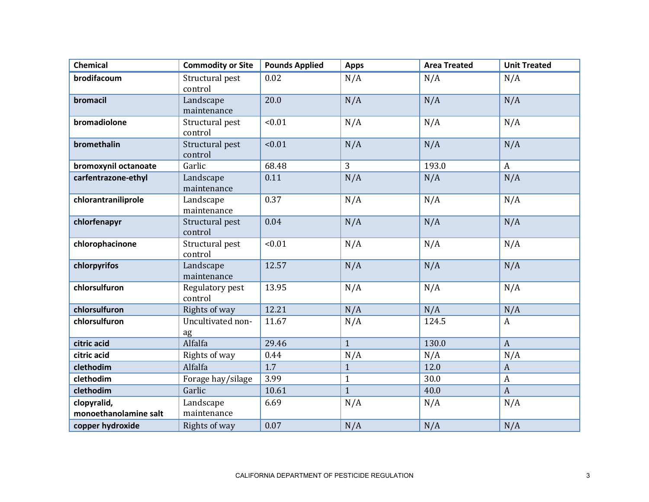| <b>Chemical</b>                      | <b>Commodity or Site</b>   | <b>Pounds Applied</b> | <b>Apps</b>    | <b>Area Treated</b> | <b>Unit Treated</b> |
|--------------------------------------|----------------------------|-----------------------|----------------|---------------------|---------------------|
| brodifacoum                          | Structural pest<br>control | 0.02                  | N/A            | N/A                 | N/A                 |
| bromacil                             | Landscape<br>maintenance   | 20.0                  | N/A            | N/A                 | N/A                 |
| bromadiolone                         | Structural pest<br>control | < 0.01                | N/A            | N/A                 | N/A                 |
| bromethalin                          | Structural pest<br>control | < 0.01                | N/A            | N/A                 | N/A                 |
| bromoxynil octanoate                 | Garlic                     | 68.48                 | $\overline{3}$ | 193.0               | $\mathbf{A}$        |
| carfentrazone-ethyl                  | Landscape<br>maintenance   | 0.11                  | N/A            | N/A                 | N/A                 |
| chlorantraniliprole                  | Landscape<br>maintenance   | 0.37                  | N/A            | N/A                 | N/A                 |
| chlorfenapyr                         | Structural pest<br>control | 0.04                  | N/A            | N/A                 | N/A                 |
| chlorophacinone                      | Structural pest<br>control | < 0.01                | N/A            | N/A                 | N/A                 |
| chlorpyrifos                         | Landscape<br>maintenance   | 12.57                 | N/A            | N/A                 | N/A                 |
| chlorsulfuron                        | Regulatory pest<br>control | 13.95                 | N/A            | N/A                 | N/A                 |
| chlorsulfuron                        | Rights of way              | 12.21                 | N/A            | N/A                 | N/A                 |
| chlorsulfuron                        | Uncultivated non-<br>ag    | 11.67                 | N/A            | 124.5               | A                   |
| citric acid                          | Alfalfa                    | 29.46                 | $\mathbf{1}$   | 130.0               | $\mathbf{A}$        |
| citric acid                          | Rights of way              | 0.44                  | N/A            | N/A                 | N/A                 |
| clethodim                            | Alfalfa                    | $\overline{1.7}$      | $\mathbf{1}$   | 12.0                | $\boldsymbol{A}$    |
| clethodim                            | Forage hay/silage          | 3.99                  | $\mathbf{1}$   | 30.0                | $\mathbf{A}$        |
| clethodim                            | Garlic                     | 10.61                 | $\mathbf{1}$   | 40.0                | $\mathbf{A}$        |
| clopyralid,<br>monoethanolamine salt | Landscape<br>maintenance   | 6.69                  | N/A            | N/A                 | N/A                 |
| copper hydroxide                     | Rights of way              | 0.07                  | N/A            | N/A                 | N/A                 |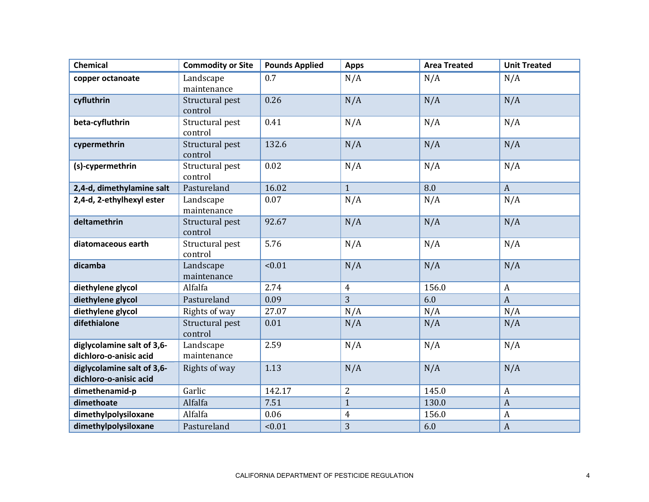| <b>Chemical</b>                                      | <b>Commodity or Site</b>   | <b>Pounds Applied</b> | <b>Apps</b>    | <b>Area Treated</b> | <b>Unit Treated</b> |
|------------------------------------------------------|----------------------------|-----------------------|----------------|---------------------|---------------------|
| copper octanoate                                     | Landscape                  | 0.7                   | N/A            | N/A                 | N/A                 |
|                                                      | maintenance                |                       |                |                     |                     |
| cyfluthrin                                           | Structural pest<br>control | 0.26                  | N/A            | N/A                 | N/A                 |
| beta-cyfluthrin                                      | Structural pest<br>control | 0.41                  | N/A            | N/A                 | N/A                 |
| cypermethrin                                         | Structural pest<br>control | 132.6                 | N/A            | N/A                 | N/A                 |
| (s)-cypermethrin                                     | Structural pest<br>control | 0.02                  | N/A            | N/A                 | N/A                 |
| 2,4-d, dimethylamine salt                            | Pastureland                | 16.02                 | $\mathbf{1}$   | 8.0                 | $\mathbf{A}$        |
| 2,4-d, 2-ethylhexyl ester                            | Landscape<br>maintenance   | 0.07                  | N/A            | N/A                 | N/A                 |
| deltamethrin                                         | Structural pest<br>control | 92.67                 | N/A            | N/A                 | N/A                 |
| diatomaceous earth                                   | Structural pest<br>control | 5.76                  | N/A            | N/A                 | N/A                 |
| dicamba                                              | Landscape<br>maintenance   | < 0.01                | N/A            | N/A                 | N/A                 |
| diethylene glycol                                    | Alfalfa                    | 2.74                  | $\overline{4}$ | 156.0               | $\boldsymbol{A}$    |
| diethylene glycol                                    | Pastureland                | 0.09                  | 3              | 6.0                 | $\boldsymbol{A}$    |
| diethylene glycol                                    | Rights of way              | 27.07                 | N/A            | N/A                 | N/A                 |
| difethialone                                         | Structural pest<br>control | 0.01                  | N/A            | N/A                 | N/A                 |
| diglycolamine salt of 3,6-<br>dichloro-o-anisic acid | Landscape<br>maintenance   | 2.59                  | N/A            | N/A                 | N/A                 |
| diglycolamine salt of 3,6-<br>dichloro-o-anisic acid | Rights of way              | 1.13                  | N/A            | N/A                 | N/A                 |
| dimethenamid-p                                       | Garlic                     | 142.17                | $\overline{2}$ | 145.0               | $\boldsymbol{A}$    |
| dimethoate                                           | Alfalfa                    | 7.51                  | $\mathbf{1}$   | 130.0               | $\mathbf{A}$        |
| dimethylpolysiloxane                                 | Alfalfa                    | 0.06                  | $\overline{4}$ | 156.0               | $\boldsymbol{A}$    |
| dimethylpolysiloxane                                 | Pastureland                | < 0.01                | 3              | 6.0                 | $\boldsymbol{A}$    |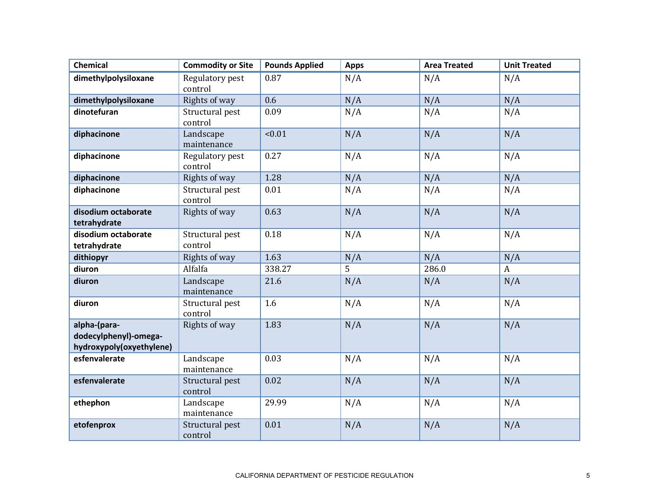| <b>Chemical</b>                                                   | <b>Commodity or Site</b>   | <b>Pounds Applied</b> | <b>Apps</b>    | <b>Area Treated</b> | <b>Unit Treated</b> |
|-------------------------------------------------------------------|----------------------------|-----------------------|----------------|---------------------|---------------------|
| dimethylpolysiloxane                                              | Regulatory pest<br>control | 0.87                  | N/A            | N/A                 | N/A                 |
| dimethylpolysiloxane                                              | Rights of way              | 0.6                   | N/A            | N/A                 | N/A                 |
| dinotefuran                                                       | Structural pest<br>control | 0.09                  | N/A            | N/A                 | N/A                 |
| diphacinone                                                       | Landscape<br>maintenance   | < 0.01                | N/A            | N/A                 | N/A                 |
| diphacinone                                                       | Regulatory pest<br>control | 0.27                  | N/A            | N/A                 | N/A                 |
| diphacinone                                                       | Rights of way              | 1.28                  | N/A            | N/A                 | N/A                 |
| diphacinone                                                       | Structural pest<br>control | 0.01                  | N/A            | N/A                 | N/A                 |
| disodium octaborate<br>tetrahydrate                               | Rights of way              | 0.63                  | N/A            | N/A                 | N/A                 |
| disodium octaborate<br>tetrahydrate                               | Structural pest<br>control | 0.18                  | N/A            | N/A                 | N/A                 |
| dithiopyr                                                         | Rights of way              | 1.63                  | N/A            | N/A                 | N/A                 |
| diuron                                                            | Alfalfa                    | 338.27                | $\overline{5}$ | 286.0               | $\mathbf{A}$        |
| diuron                                                            | Landscape<br>maintenance   | 21.6                  | N/A            | N/A                 | N/A                 |
| diuron                                                            | Structural pest<br>control | 1.6                   | N/A            | N/A                 | N/A                 |
| alpha-(para-<br>dodecylphenyl)-omega-<br>hydroxypoly(oxyethylene) | Rights of way              | 1.83                  | N/A            | N/A                 | N/A                 |
| esfenvalerate                                                     | Landscape<br>maintenance   | 0.03                  | N/A            | N/A                 | N/A                 |
| esfenvalerate                                                     | Structural pest<br>control | 0.02                  | N/A            | N/A                 | N/A                 |
| ethephon                                                          | Landscape<br>maintenance   | 29.99                 | N/A            | N/A                 | N/A                 |
| etofenprox                                                        | Structural pest<br>control | 0.01                  | N/A            | N/A                 | N/A                 |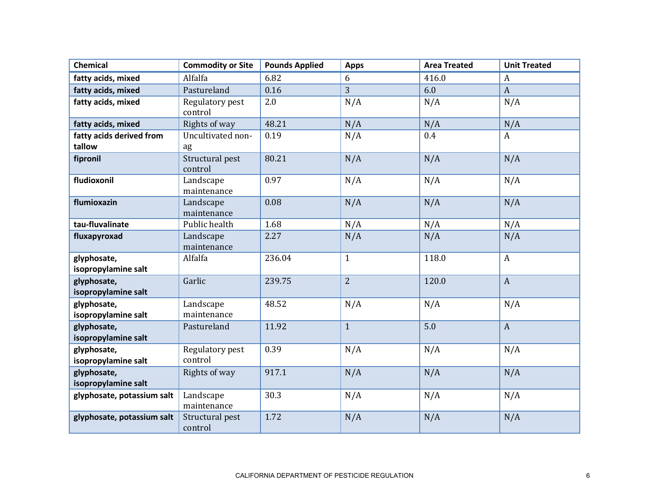| <b>Chemical</b>            | <b>Commodity or Site</b>     | <b>Pounds Applied</b> | <b>Apps</b>    | <b>Area Treated</b> | <b>Unit Treated</b> |
|----------------------------|------------------------------|-----------------------|----------------|---------------------|---------------------|
| fatty acids, mixed         | Alfalfa                      | 6.82                  | 6              | 416.0               | A                   |
| fatty acids, mixed         | Pastureland                  | 0.16                  | $\overline{3}$ | 6.0                 | $\mathbf{A}$        |
| fatty acids, mixed         | Regulatory pest              | 2.0                   | N/A            | N/A                 | N/A                 |
|                            | control                      |                       |                |                     |                     |
| fatty acids, mixed         | Rights of way                | 48.21                 | N/A            | N/A                 | N/A                 |
| fatty acids derived from   | Uncultivated non-            | 0.19                  | N/A            | 0.4                 | A                   |
| tallow                     | ag                           |                       |                |                     |                     |
| fipronil                   | Structural pest              | 80.21                 | N/A            | N/A                 | N/A                 |
|                            | control                      |                       |                |                     |                     |
| fludioxonil                | Landscape                    | 0.97                  | N/A            | N/A                 | N/A                 |
|                            | maintenance                  |                       |                |                     |                     |
| flumioxazin                | Landscape                    | 0.08                  | N/A            | N/A                 | N/A                 |
| tau-fluvalinate            | maintenance<br>Public health | 1.68                  |                |                     |                     |
|                            |                              |                       | N/A            | N/A                 | N/A                 |
| fluxapyroxad               | Landscape<br>maintenance     | 2.27                  | N/A            | N/A                 | N/A                 |
| glyphosate,                | Alfalfa                      | 236.04                | $\mathbf{1}$   | 118.0               | $\boldsymbol{A}$    |
| isopropylamine salt        |                              |                       |                |                     |                     |
| glyphosate,                | Garlic                       | 239.75                | $\overline{2}$ | 120.0               | $\mathbf{A}$        |
| isopropylamine salt        |                              |                       |                |                     |                     |
| glyphosate,                | Landscape                    | 48.52                 | N/A            | N/A                 | N/A                 |
| isopropylamine salt        | maintenance                  |                       |                |                     |                     |
| glyphosate,                | Pastureland                  | 11.92                 | $\mathbf{1}$   | 5.0                 | $\mathbf{A}$        |
| isopropylamine salt        |                              |                       |                |                     |                     |
| glyphosate,                | Regulatory pest              | 0.39                  | N/A            | N/A                 | N/A                 |
| isopropylamine salt        | control                      |                       |                |                     |                     |
| glyphosate,                | Rights of way                | 917.1                 | N/A            | N/A                 | N/A                 |
| isopropylamine salt        |                              |                       |                |                     |                     |
| glyphosate, potassium salt | Landscape                    | 30.3                  | N/A            | N/A                 | N/A                 |
|                            | maintenance                  |                       |                |                     |                     |
| glyphosate, potassium salt | Structural pest              | 1.72                  | N/A            | N/A                 | N/A                 |
|                            | control                      |                       |                |                     |                     |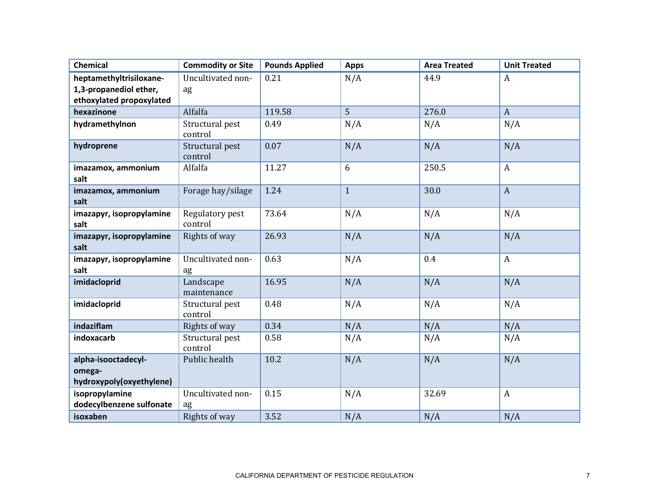| <b>Chemical</b>                  | <b>Commodity or Site</b>   | <b>Pounds Applied</b> | <b>Apps</b>  | <b>Area Treated</b> | <b>Unit Treated</b> |
|----------------------------------|----------------------------|-----------------------|--------------|---------------------|---------------------|
| heptamethyltrisiloxane-          | Uncultivated non-          | 0.21                  | N/A          | 44.9                | $\boldsymbol{A}$    |
| 1,3-propanediol ether,           | ag                         |                       |              |                     |                     |
| ethoxylated propoxylated         |                            |                       |              |                     |                     |
| hexazinone                       | Alfalfa                    | 119.58                | 5            | 276.0               | $\mathbf{A}$        |
| hydramethylnon                   | Structural pest<br>control | 0.49                  | N/A          | N/A                 | N/A                 |
| hydroprene                       | Structural pest<br>control | 0.07                  | N/A          | N/A                 | N/A                 |
| imazamox, ammonium<br>salt       | Alfalfa                    | 11.27                 | 6            | 250.5               | $\boldsymbol{A}$    |
| imazamox, ammonium<br>salt       | Forage hay/silage          | 1.24                  | $\mathbf{1}$ | 30.0                | $\overline{A}$      |
| imazapyr, isopropylamine<br>salt | Regulatory pest<br>control | 73.64                 | N/A          | N/A                 | N/A                 |
| imazapyr, isopropylamine<br>salt | Rights of way              | 26.93                 | N/A          | N/A                 | N/A                 |
| imazapyr, isopropylamine<br>salt | Uncultivated non-<br>ag    | 0.63                  | N/A          | 0.4                 | $\mathbf{A}$        |
| imidacloprid                     | Landscape<br>maintenance   | 16.95                 | N/A          | N/A                 | N/A                 |
| imidacloprid                     | Structural pest<br>control | 0.48                  | N/A          | N/A                 | N/A                 |
| indaziflam                       | Rights of way              | 0.34                  | N/A          | N/A                 | N/A                 |
| indoxacarb                       | Structural pest<br>control | 0.58                  | N/A          | N/A                 | N/A                 |
| alpha-isooctadecyl-              | Public health              | 10.2                  | N/A          | N/A                 | N/A                 |
| omega-                           |                            |                       |              |                     |                     |
| hydroxypoly(oxyethylene)         |                            |                       |              |                     |                     |
| isopropylamine                   | Uncultivated non-          | 0.15                  | N/A          | 32.69               | $\boldsymbol{A}$    |
| dodecylbenzene sulfonate         | ag                         |                       |              |                     |                     |
| isoxaben                         | Rights of way              | 3.52                  | N/A          | N/A                 | N/A                 |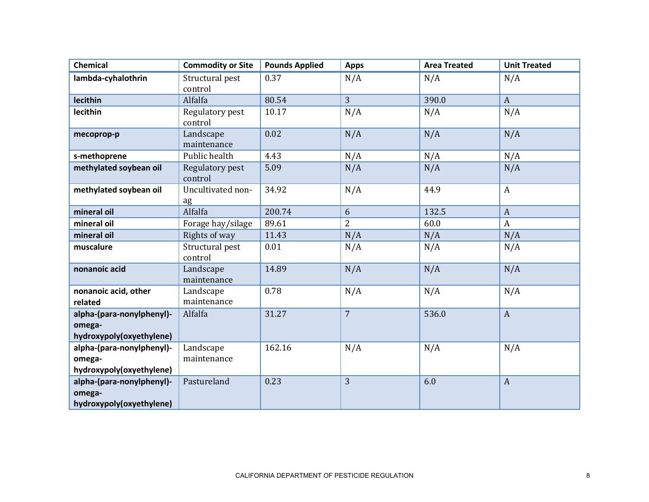| <b>Chemical</b>                                                 | <b>Commodity or Site</b>   | <b>Pounds Applied</b> | <b>Apps</b>    | <b>Area Treated</b> | <b>Unit Treated</b> |
|-----------------------------------------------------------------|----------------------------|-----------------------|----------------|---------------------|---------------------|
| lambda-cyhalothrin                                              | Structural pest<br>control | 0.37                  | N/A            | N/A                 | N/A                 |
| lecithin                                                        | Alfalfa                    | 80.54                 | $\overline{3}$ | 390.0               | $\mathbf{A}$        |
| lecithin                                                        | Regulatory pest<br>control | 10.17                 | N/A            | N/A                 | N/A                 |
| mecoprop-p                                                      | Landscape<br>maintenance   | 0.02                  | N/A            | N/A                 | N/A                 |
| s-methoprene                                                    | Public health              | 4.43                  | N/A            | N/A                 | N/A                 |
| methylated soybean oil                                          | Regulatory pest<br>control | 5.09                  | N/A            | N/A                 | N/A                 |
| methylated soybean oil                                          | Uncultivated non-<br>ag    | 34.92                 | N/A            | 44.9                | A                   |
| mineral oil                                                     | Alfalfa                    | 200.74                | 6              | 132.5               | $\mathbf{A}$        |
| mineral oil                                                     | Forage hay/silage          | 89.61                 | $\overline{2}$ | 60.0                | A                   |
| mineral oil                                                     | Rights of way              | 11.43                 | N/A            | N/A                 | N/A                 |
| muscalure                                                       | Structural pest<br>control | 0.01                  | N/A            | N/A                 | N/A                 |
| nonanoic acid                                                   | Landscape<br>maintenance   | 14.89                 | N/A            | N/A                 | N/A                 |
| nonanoic acid, other<br>related                                 | Landscape<br>maintenance   | 0.78                  | N/A            | N/A                 | N/A                 |
| alpha-(para-nonylphenyl)-<br>omega-<br>hydroxypoly(oxyethylene) | Alfalfa                    | 31.27                 | $\overline{7}$ | 536.0               | $\boldsymbol{A}$    |
| alpha-(para-nonylphenyl)-<br>omega-<br>hydroxypoly(oxyethylene) | Landscape<br>maintenance   | 162.16                | N/A            | N/A                 | N/A                 |
| alpha-(para-nonylphenyl)-<br>omega-<br>hydroxypoly(oxyethylene) | Pastureland                | 0.23                  | $\overline{3}$ | 6.0                 | $\boldsymbol{A}$    |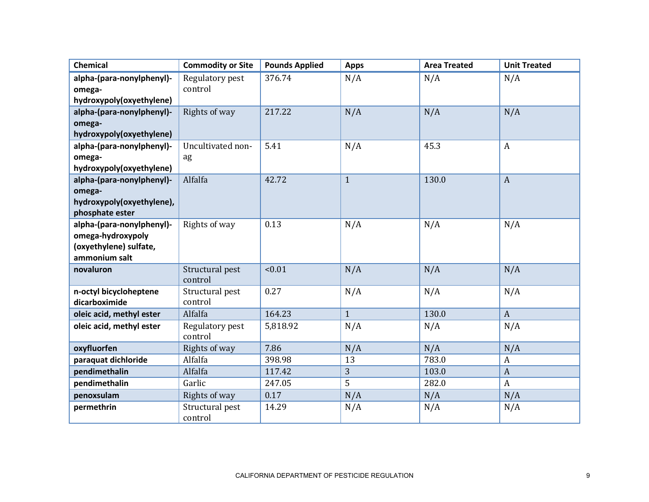| <b>Chemical</b>                              | <b>Commodity or Site</b>   | <b>Pounds Applied</b> | <b>Apps</b>  | <b>Area Treated</b> | <b>Unit Treated</b> |
|----------------------------------------------|----------------------------|-----------------------|--------------|---------------------|---------------------|
| alpha-(para-nonylphenyl)-                    | Regulatory pest<br>control | 376.74                | N/A          | N/A                 | N/A                 |
| omega-<br>hydroxypoly(oxyethylene)           |                            |                       |              |                     |                     |
| alpha-(para-nonylphenyl)-                    | Rights of way              | 217.22                | N/A          | N/A                 | N/A                 |
| omega-                                       |                            |                       |              |                     |                     |
| hydroxypoly(oxyethylene)                     |                            |                       |              |                     |                     |
| alpha-(para-nonylphenyl)-                    | Uncultivated non-          | 5.41                  | N/A          | 45.3                | $\boldsymbol{A}$    |
| omega-                                       | ag                         |                       |              |                     |                     |
| hydroxypoly(oxyethylene)                     |                            |                       |              |                     |                     |
| alpha-(para-nonylphenyl)-                    | Alfalfa                    | 42.72                 | $\mathbf{1}$ | 130.0               | $\mathbf{A}$        |
| omega-                                       |                            |                       |              |                     |                     |
| hydroxypoly(oxyethylene),<br>phosphate ester |                            |                       |              |                     |                     |
| alpha-(para-nonylphenyl)-                    | Rights of way              | 0.13                  | N/A          | N/A                 | N/A                 |
| omega-hydroxypoly                            |                            |                       |              |                     |                     |
| (oxyethylene) sulfate,                       |                            |                       |              |                     |                     |
| ammonium salt                                |                            |                       |              |                     |                     |
| novaluron                                    | Structural pest<br>control | < 0.01                | N/A          | N/A                 | N/A                 |
| n-octyl bicycloheptene                       | Structural pest            | 0.27                  | N/A          | N/A                 | N/A                 |
| dicarboximide                                | control                    |                       |              |                     |                     |
| oleic acid, methyl ester                     | Alfalfa                    | 164.23                | $\mathbf{1}$ | 130.0               | $\mathbf{A}$        |
| oleic acid, methyl ester                     | Regulatory pest<br>control | 5,818.92              | N/A          | N/A                 | N/A                 |
| oxyfluorfen                                  | Rights of way              | 7.86                  | N/A          | N/A                 | N/A                 |
| paraquat dichloride                          | Alfalfa                    | 398.98                | 13           | 783.0               | $\mathbf{A}$        |
| pendimethalin                                | Alfalfa                    | 117.42                | 3            | 103.0               | $\boldsymbol{A}$    |
| pendimethalin                                | Garlic                     | 247.05                | 5            | 282.0               | $\mathbf{A}$        |
| penoxsulam                                   | Rights of way              | 0.17                  | N/A          | N/A                 | N/A                 |
| permethrin                                   | Structural pest<br>control | 14.29                 | N/A          | N/A                 | N/A                 |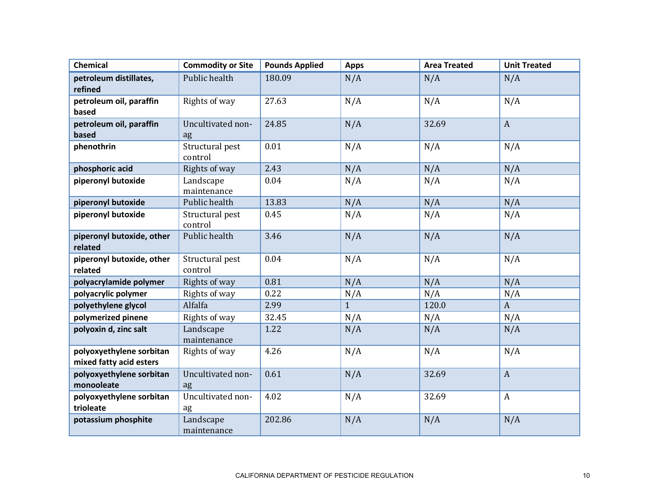| <b>Chemical</b>                                     | <b>Commodity or Site</b>   | <b>Pounds Applied</b> | <b>Apps</b>  | <b>Area Treated</b> | <b>Unit Treated</b> |
|-----------------------------------------------------|----------------------------|-----------------------|--------------|---------------------|---------------------|
| petroleum distillates,<br>refined                   | Public health              | 180.09                | N/A          | N/A                 | N/A                 |
| petroleum oil, paraffin<br>based                    | Rights of way              | 27.63                 | N/A          | N/A                 | N/A                 |
| petroleum oil, paraffin<br>based                    | Uncultivated non-<br>ag    | 24.85                 | N/A          | 32.69               | $\mathbf{A}$        |
| phenothrin                                          | Structural pest<br>control | 0.01                  | N/A          | N/A                 | N/A                 |
| phosphoric acid                                     | Rights of way              | 2.43                  | N/A          | N/A                 | N/A                 |
| piperonyl butoxide                                  | Landscape<br>maintenance   | 0.04                  | N/A          | N/A                 | N/A                 |
| piperonyl butoxide                                  | Public health              | 13.83                 | N/A          | N/A                 | N/A                 |
| piperonyl butoxide                                  | Structural pest<br>control | 0.45                  | N/A          | N/A                 | N/A                 |
| piperonyl butoxide, other<br>related                | Public health              | 3.46                  | N/A          | N/A                 | N/A                 |
| piperonyl butoxide, other<br>related                | Structural pest<br>control | 0.04                  | N/A          | N/A                 | N/A                 |
| polyacrylamide polymer                              | Rights of way              | 0.81                  | N/A          | N/A                 | N/A                 |
| polyacrylic polymer                                 | Rights of way              | 0.22                  | N/A          | N/A                 | N/A                 |
| polyethylene glycol                                 | Alfalfa                    | 2.99                  | $\mathbf{1}$ | 120.0               | $\mathbf{A}$        |
| polymerized pinene                                  | Rights of way              | 32.45                 | N/A          | N/A                 | N/A                 |
| polyoxin d, zinc salt                               | Landscape<br>maintenance   | 1.22                  | N/A          | N/A                 | N/A                 |
| polyoxyethylene sorbitan<br>mixed fatty acid esters | Rights of way              | 4.26                  | N/A          | N/A                 | N/A                 |
| polyoxyethylene sorbitan<br>monooleate              | Uncultivated non-<br>ag    | 0.61                  | N/A          | 32.69               | $\mathbf{A}$        |
| polyoxyethylene sorbitan<br>trioleate               | Uncultivated non-<br>ag    | 4.02                  | N/A          | 32.69               | $\mathbf{A}$        |
| potassium phosphite                                 | Landscape<br>maintenance   | 202.86                | N/A          | N/A                 | N/A                 |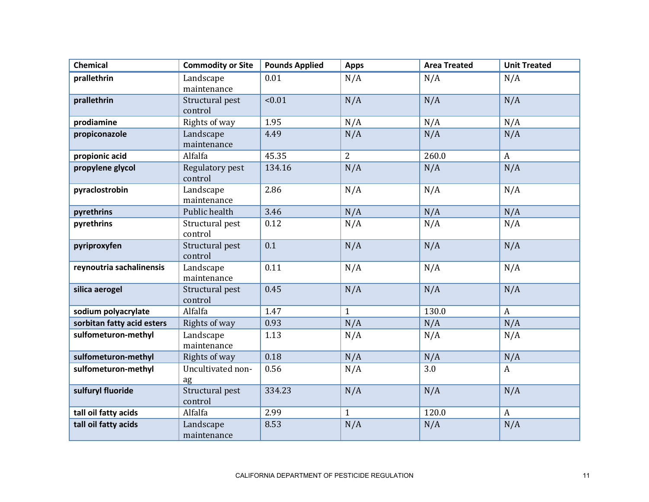| <b>Chemical</b>            | <b>Commodity or Site</b>   | <b>Pounds Applied</b> | <b>Apps</b>    | <b>Area Treated</b> | <b>Unit Treated</b> |
|----------------------------|----------------------------|-----------------------|----------------|---------------------|---------------------|
| prallethrin                | Landscape<br>maintenance   | 0.01                  | N/A            | N/A                 | N/A                 |
| prallethrin                | Structural pest<br>control | < 0.01                | N/A            | N/A                 | N/A                 |
| prodiamine                 | Rights of way              | 1.95                  | N/A            | N/A                 | N/A                 |
| propiconazole              | Landscape<br>maintenance   | 4.49                  | N/A            | N/A                 | N/A                 |
| propionic acid             | Alfalfa                    | 45.35                 | $\overline{2}$ | 260.0               | $\mathbf{A}$        |
| propylene glycol           | Regulatory pest<br>control | 134.16                | N/A            | N/A                 | N/A                 |
| pyraclostrobin             | Landscape<br>maintenance   | 2.86                  | N/A            | N/A                 | N/A                 |
| pyrethrins                 | Public health              | 3.46                  | N/A            | N/A                 | N/A                 |
| pyrethrins                 | Structural pest<br>control | 0.12                  | N/A            | N/A                 | N/A                 |
| pyriproxyfen               | Structural pest<br>control | 0.1                   | N/A            | N/A                 | N/A                 |
| reynoutria sachalinensis   | Landscape<br>maintenance   | 0.11                  | N/A            | N/A                 | N/A                 |
| silica aerogel             | Structural pest<br>control | 0.45                  | N/A            | N/A                 | N/A                 |
| sodium polyacrylate        | Alfalfa                    | 1.47                  | $\mathbf{1}$   | 130.0               | $\mathbf{A}$        |
| sorbitan fatty acid esters | Rights of way              | 0.93                  | N/A            | N/A                 | N/A                 |
| sulfometuron-methyl        | Landscape<br>maintenance   | 1.13                  | N/A            | N/A                 | N/A                 |
| sulfometuron-methyl        | Rights of way              | 0.18                  | N/A            | N/A                 | N/A                 |
| sulfometuron-methyl        | Uncultivated non-<br>ag    | 0.56                  | N/A            | 3.0                 | A                   |
| sulfuryl fluoride          | Structural pest<br>control | 334.23                | N/A            | N/A                 | N/A                 |
| tall oil fatty acids       | Alfalfa                    | 2.99                  | $\mathbf{1}$   | 120.0               | $\mathbf{A}$        |
| tall oil fatty acids       | Landscape<br>maintenance   | 8.53                  | N/A            | N/A                 | N/A                 |